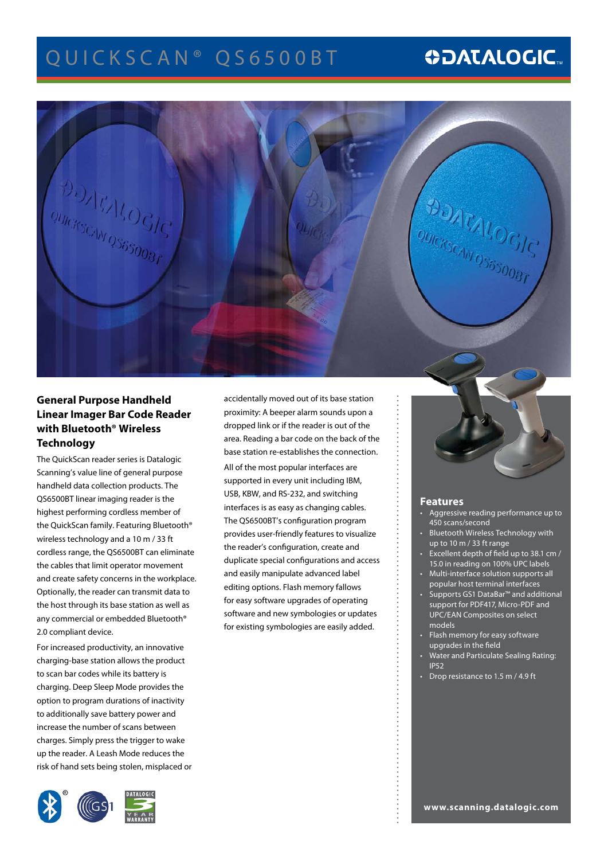# Q UIC K S C A N ® Q S 6 5 0 0 B T

# **ODATALOGIC.**



## **General Purpose Handheld Linear Imager Bar Code Reader with Bluetooth® Wireless Technology**

The QuickScan reader series is Datalogic Scanning's value line of general purpose handheld data collection products. The QS6500BT linear imaging reader is the highest performing cordless member of the QuickScan family. Featuring Bluetooth® wireless technology and a 10 m / 33 ft cordless range, the QS6500BT can eliminate the cables that limit operator movement and create safety concerns in the workplace. Optionally, the reader can transmit data to the host through its base station as well as any commercial or embedded Bluetooth® 2.0 compliant device.

For increased productivity, an innovative charging-base station allows the product to scan bar codes while its battery is charging. Deep Sleep Mode provides the option to program durations of inactivity to additionally save battery power and increase the number of scans between charges. Simply press the trigger to wake up the reader. A Leash Mode reduces the risk of hand sets being stolen, misplaced or



accidentally moved out of its base station proximity: A beeper alarm sounds upon a dropped link or if the reader is out of the area. Reading a bar code on the back of the base station re-establishes the connection. All of the most popular interfaces are supported in every unit including IBM, USB, KBW, and RS-232, and switching interfaces is as easy as changing cables. The QS6500BT's configuration program provides user-friendly features to visualize the reader's configuration, create and duplicate special configurations and access and easily manipulate advanced label editing options. Flash memory fallows for easy software upgrades of operating software and new symbologies or updates for existing symbologies are easily added.



## **Features**

- Aggressive reading performance up to 450 scans/second
- Bluetooth Wireless Technology with up to 10 m / 33 ft range
- Excellent depth of field up to 38.1 cm / 15.0 in reading on 100% UPC labels
- Multi-interface solution supports all popular host terminal interfaces
- Supports GS1 DataBar™ and additional support for PDF417, Micro-PDF and UPC/EAN Composites on select models
- Flash memory for easy software upgrades in the field
- Water and Particulate Sealing Rating: IP52
- Drop resistance to 1.5 m / 4.9 ft